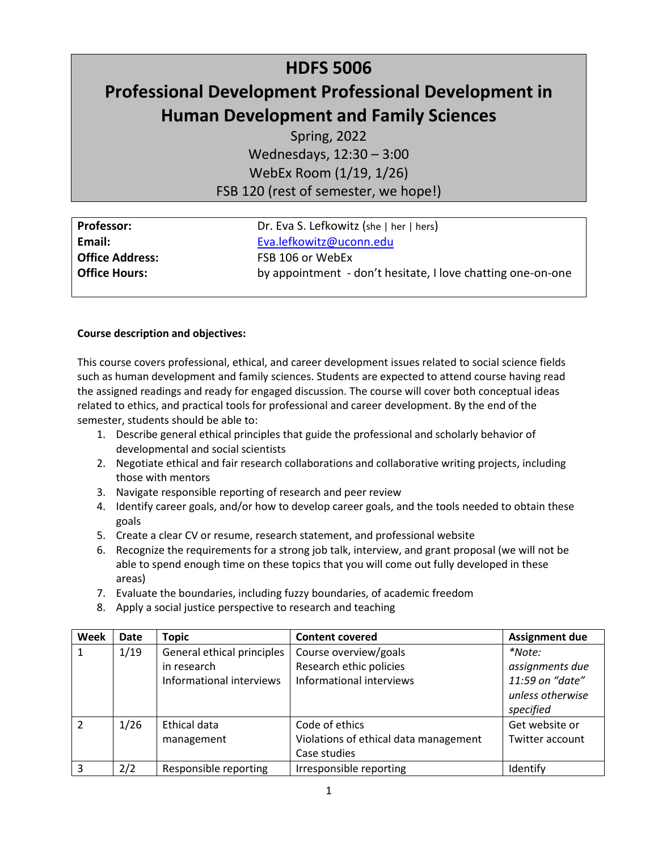# **HDFS 5006 Professional Development Professional Development in Human Development and Family Sciences**

Spring, 2022 Wednesdays, 12:30 – 3:00 WebEx Room (1/19, 1/26) FSB 120 (rest of semester, we hope!)

| <b>Professor:</b>      | Dr. Eva S. Lefkowitz (she   her   hers)                     |  |
|------------------------|-------------------------------------------------------------|--|
| Email:                 | Eva.lefkowitz@uconn.edu                                     |  |
| <b>Office Address:</b> | FSB 106 or WebEx                                            |  |
| <b>Office Hours:</b>   | by appointment - don't hesitate, I love chatting one-on-one |  |
|                        |                                                             |  |

## **Course description and objectives:**

This course covers professional, ethical, and career development issues related to social science fields such as human development and family sciences. Students are expected to attend course having read the assigned readings and ready for engaged discussion. The course will cover both conceptual ideas related to ethics, and practical tools for professional and career development. By the end of the semester, students should be able to:

- 1. Describe general ethical principles that guide the professional and scholarly behavior of developmental and social scientists
- 2. Negotiate ethical and fair research collaborations and collaborative writing projects, including those with mentors
- 3. Navigate responsible reporting of research and peer review
- 4. Identify career goals, and/or how to develop career goals, and the tools needed to obtain these goals
- 5. Create a clear CV or resume, research statement, and professional website
- 6. Recognize the requirements for a strong job talk, interview, and grant proposal (we will not be able to spend enough time on these topics that you will come out fully developed in these areas)
- 7. Evaluate the boundaries, including fuzzy boundaries, of academic freedom
- 8. Apply a social justice perspective to research and teaching

| Week          | <b>Date</b> | <b>Topic</b>               | <b>Content covered</b>                | <b>Assignment due</b> |
|---------------|-------------|----------------------------|---------------------------------------|-----------------------|
|               | 1/19        | General ethical principles | Course overview/goals                 | *Note:                |
|               |             | in research                | Research ethic policies               | assignments due       |
|               |             | Informational interviews   | Informational interviews              | 11:59 on "date"       |
|               |             |                            |                                       | unless otherwise      |
|               |             |                            |                                       | specified             |
| $\mathcal{P}$ | 1/26        | Ethical data               | Code of ethics                        | Get website or        |
|               |             | management                 | Violations of ethical data management | Twitter account       |
|               |             |                            | Case studies                          |                       |
| 3             | 2/2         | Responsible reporting      | Irresponsible reporting               | Identify              |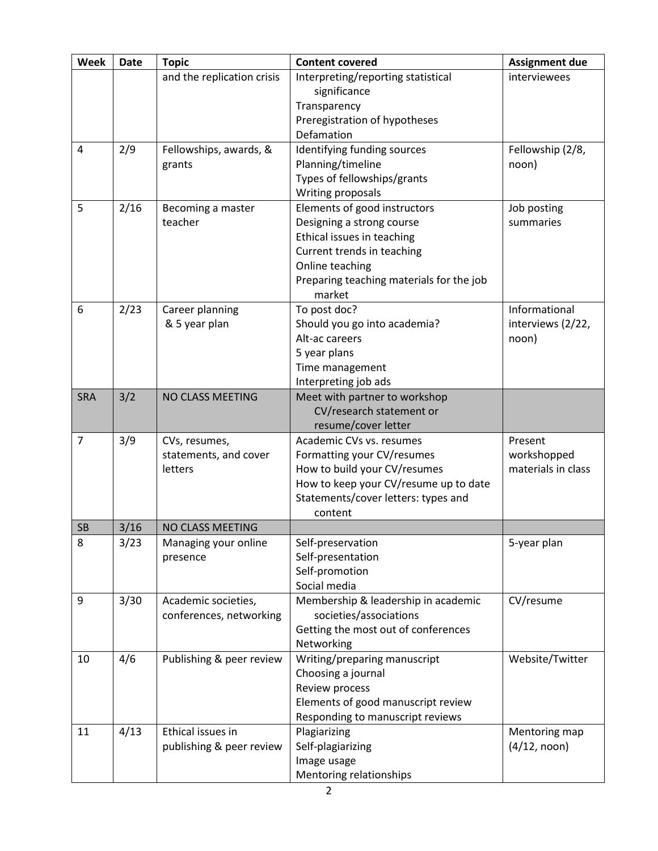| Week       | <b>Date</b> | <b>Topic</b>               | <b>Content covered</b>                         | <b>Assignment due</b> |
|------------|-------------|----------------------------|------------------------------------------------|-----------------------|
|            |             | and the replication crisis | Interpreting/reporting statistical             | interviewees          |
|            |             |                            | significance                                   |                       |
|            |             |                            | Transparency                                   |                       |
|            |             |                            | Preregistration of hypotheses                  |                       |
|            |             |                            | Defamation                                     |                       |
| 4          | 2/9         | Fellowships, awards, &     | Identifying funding sources                    | Fellowship (2/8,      |
|            |             | grants                     | Planning/timeline                              | noon)                 |
|            |             |                            | Types of fellowships/grants                    |                       |
|            |             |                            | Writing proposals                              |                       |
| 5          | 2/16        | Becoming a master          | Elements of good instructors                   | Job posting           |
|            |             | teacher                    | Designing a strong course                      | summaries             |
|            |             |                            | Ethical issues in teaching                     |                       |
|            |             |                            | Current trends in teaching                     |                       |
|            |             |                            | Online teaching                                |                       |
|            |             |                            | Preparing teaching materials for the job       |                       |
|            |             |                            | market                                         |                       |
| 6          | 2/23        | Career planning            | To post doc?                                   | Informational         |
|            |             | & 5 year plan              | Should you go into academia?                   | interviews (2/22,     |
|            |             |                            | Alt-ac careers                                 | noon)                 |
|            |             |                            | 5 year plans                                   |                       |
|            |             |                            | Time management                                |                       |
|            |             |                            | Interpreting job ads                           |                       |
| <b>SRA</b> | 3/2         | NO CLASS MEETING           | Meet with partner to workshop                  |                       |
|            |             |                            | CV/research statement or                       |                       |
|            |             |                            | resume/cover letter                            |                       |
| 7          | 3/9         | CVs, resumes,              | Academic CVs vs. resumes                       | Present               |
|            |             | statements, and cover      | Formatting your CV/resumes                     | workshopped           |
|            |             | letters                    | How to build your CV/resumes                   | materials in class    |
|            |             |                            | How to keep your CV/resume up to date          |                       |
|            |             |                            | Statements/cover letters: types and<br>content |                       |
| <b>SB</b>  | 3/16        | <b>NO CLASS MEETING</b>    |                                                |                       |
| 8          | 3/23        | Managing your online       | Self-preservation                              | 5-year plan           |
|            |             | presence                   | Self-presentation                              |                       |
|            |             |                            | Self-promotion                                 |                       |
|            |             |                            | Social media                                   |                       |
| 9          | 3/30        | Academic societies,        | Membership & leadership in academic            | CV/resume             |
|            |             | conferences, networking    | societies/associations                         |                       |
|            |             |                            | Getting the most out of conferences            |                       |
|            |             |                            | Networking                                     |                       |
| 10         | 4/6         | Publishing & peer review   | Writing/preparing manuscript                   | Website/Twitter       |
|            |             |                            | Choosing a journal                             |                       |
|            |             |                            | Review process                                 |                       |
|            |             |                            | Elements of good manuscript review             |                       |
|            |             |                            | Responding to manuscript reviews               |                       |
| 11         | 4/13        | Ethical issues in          | Plagiarizing                                   | Mentoring map         |
|            |             | publishing & peer review   | Self-plagiarizing                              | (4/12, noon)          |
|            |             |                            | Image usage                                    |                       |
|            |             |                            | Mentoring relationships                        |                       |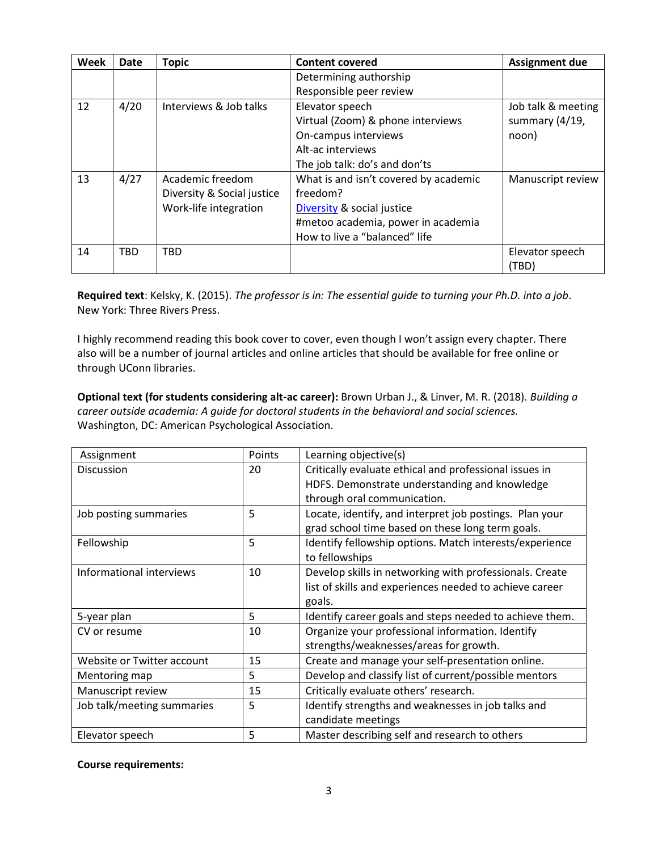| Week | Date | <b>Topic</b>               | <b>Content covered</b>                | <b>Assignment due</b> |
|------|------|----------------------------|---------------------------------------|-----------------------|
|      |      |                            | Determining authorship                |                       |
|      |      |                            | Responsible peer review               |                       |
| 12   | 4/20 | Interviews & Job talks     | Elevator speech                       | Job talk & meeting    |
|      |      |                            | Virtual (Zoom) & phone interviews     | summary (4/19,        |
|      |      |                            | On-campus interviews                  | noon)                 |
|      |      |                            | Alt-ac interviews                     |                       |
|      |      |                            | The job talk: do's and don'ts         |                       |
| 13   | 4/27 | Academic freedom           | What is and isn't covered by academic | Manuscript review     |
|      |      | Diversity & Social justice | freedom?                              |                       |
|      |      | Work-life integration      | Diversity & social justice            |                       |
|      |      |                            | #metoo academia, power in academia    |                       |
|      |      |                            | How to live a "balanced" life         |                       |
| 14   | TBD  | TBD                        |                                       | Elevator speech       |
|      |      |                            |                                       | (TBD)                 |

**Required text**: Kelsky, K. (2015). *The professor is in: The essential guide to turning your Ph.D. into a job*. New York: Three Rivers Press.

I highly recommend reading this book cover to cover, even though I won't assign every chapter. There also will be a number of journal articles and online articles that should be available for free online or through UConn libraries.

**Optional text (for students considering alt-ac career):** Brown Urban J., & Linver, M. R. (2018). *Building a career outside academia: A guide for doctoral students in the behavioral and social sciences.*  Washington, DC: American Psychological Association.

| Assignment                 | Points | Learning objective(s)                                                                                   |
|----------------------------|--------|---------------------------------------------------------------------------------------------------------|
| Discussion                 | 20     | Critically evaluate ethical and professional issues in<br>HDFS. Demonstrate understanding and knowledge |
|                            |        | through oral communication.                                                                             |
| Job posting summaries      | 5      | Locate, identify, and interpret job postings. Plan your                                                 |
|                            |        | grad school time based on these long term goals.                                                        |
| Fellowship                 | 5      | Identify fellowship options. Match interests/experience                                                 |
|                            |        | to fellowships                                                                                          |
| Informational interviews   | 10     | Develop skills in networking with professionals. Create                                                 |
|                            |        | list of skills and experiences needed to achieve career                                                 |
|                            |        | goals.                                                                                                  |
| 5-year plan                | 5      | Identify career goals and steps needed to achieve them.                                                 |
| CV or resume               | 10     | Organize your professional information. Identify                                                        |
|                            |        | strengths/weaknesses/areas for growth.                                                                  |
| Website or Twitter account | 15     | Create and manage your self-presentation online.                                                        |
| Mentoring map              | 5      | Develop and classify list of current/possible mentors                                                   |
| Manuscript review          | 15     | Critically evaluate others' research.                                                                   |
| Job talk/meeting summaries | 5      | Identify strengths and weaknesses in job talks and                                                      |
|                            |        | candidate meetings                                                                                      |
| Elevator speech            | 5      | Master describing self and research to others                                                           |

## **Course requirements:**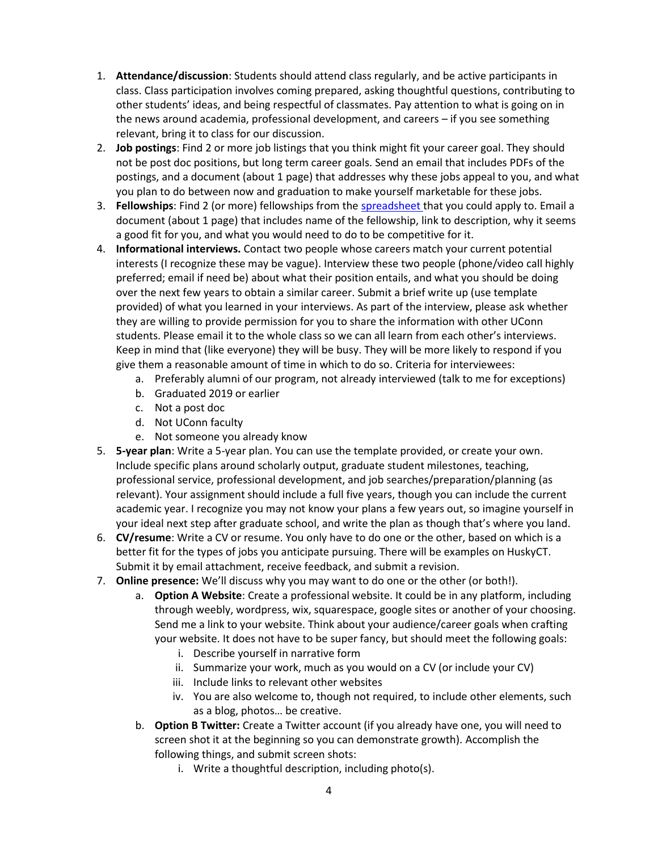- 1. **Attendance/discussion**: Students should attend class regularly, and be active participants in class. Class participation involves coming prepared, asking thoughtful questions, contributing to other students' ideas, and being respectful of classmates. Pay attention to what is going on in the news around academia, professional development, and careers – if you see something relevant, bring it to class for our discussion.
- 2. **Job postings**: Find 2 or more job listings that you think might fit your career goal. They should not be post doc positions, but long term career goals. Send an email that includes PDFs of the postings, and a document (about 1 page) that addresses why these jobs appeal to you, and what you plan to do between now and graduation to make yourself marketable for these jobs.
- 3. **Fellowships**: Find 2 (or more) fellowships from the [spreadsheet t](https://docs.google.com/spreadsheets/d/1e9hAxj5mqUZGHp9yUzwKEG1DWdDJNNFXNCZEYx3dghM/edit#gid=0)hat you could apply to. Email a document (about 1 page) that includes name of the fellowship, link to description, why it seems a good fit for you, and what you would need to do to be competitive for it.
- 4. **Informational interviews.** Contact two people whose careers match your current potential interests (I recognize these may be vague). Interview these two people (phone/video call highly preferred; email if need be) about what their position entails, and what you should be doing over the next few years to obtain a similar career. Submit a brief write up (use template provided) of what you learned in your interviews. As part of the interview, please ask whether they are willing to provide permission for you to share the information with other UConn students. Please email it to the whole class so we can all learn from each other's interviews. Keep in mind that (like everyone) they will be busy. They will be more likely to respond if you give them a reasonable amount of time in which to do so. Criteria for interviewees:
	- a. Preferably alumni of our program, not already interviewed (talk to me for exceptions)
	- b. Graduated 2019 or earlier
	- c. Not a post doc
	- d. Not UConn faculty
	- e. Not someone you already know
- 5. **5-year plan**: Write a 5-year plan. You can use the template provided, or create your own. Include specific plans around scholarly output, graduate student milestones, teaching, professional service, professional development, and job searches/preparation/planning (as relevant). Your assignment should include a full five years, though you can include the current academic year. I recognize you may not know your plans a few years out, so imagine yourself in your ideal next step after graduate school, and write the plan as though that's where you land.
- 6. **CV/resume**: Write a CV or resume. You only have to do one or the other, based on which is a better fit for the types of jobs you anticipate pursuing. There will be examples on HuskyCT. Submit it by email attachment, receive feedback, and submit a revision.
- 7. **Online presence:** We'll discuss why you may want to do one or the other (or both!).
	- a. **Option A Website**: Create a professional website. It could be in any platform, including through weebly, wordpress, wix, squarespace, google sites or another of your choosing. Send me a link to your website. Think about your audience/career goals when crafting your website. It does not have to be super fancy, but should meet the following goals:
		- i. Describe yourself in narrative form
		- ii. Summarize your work, much as you would on a CV (or include your CV)
		- iii. Include links to relevant other websites
		- iv. You are also welcome to, though not required, to include other elements, such as a blog, photos… be creative.
	- b. **Option B Twitter:** Create a Twitter account (if you already have one, you will need to screen shot it at the beginning so you can demonstrate growth). Accomplish the following things, and submit screen shots:
		- i. Write a thoughtful description, including photo(s).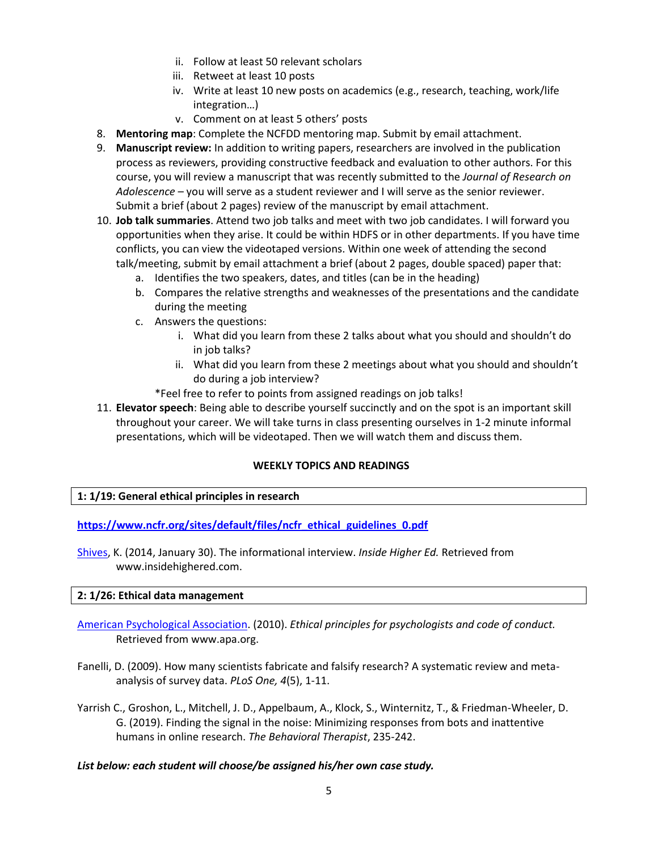- ii. Follow at least 50 relevant scholars
- iii. Retweet at least 10 posts
- iv. Write at least 10 new posts on academics (e.g., research, teaching, work/life integration…)
- v. Comment on at least 5 others' posts
- 8. **Mentoring map**: Complete the NCFDD mentoring map. Submit by email attachment.
- 9. **Manuscript review:** In addition to writing papers, researchers are involved in the publication process as reviewers, providing constructive feedback and evaluation to other authors. For this course, you will review a manuscript that was recently submitted to the *Journal of Research on Adolescence* – you will serve as a student reviewer and I will serve as the senior reviewer. Submit a brief (about 2 pages) review of the manuscript by email attachment.
- 10. **Job talk summaries**. Attend two job talks and meet with two job candidates. I will forward you opportunities when they arise. It could be within HDFS or in other departments. If you have time conflicts, you can view the videotaped versions. Within one week of attending the second talk/meeting, submit by email attachment a brief (about 2 pages, double spaced) paper that:
	- a. Identifies the two speakers, dates, and titles (can be in the heading)
	- b. Compares the relative strengths and weaknesses of the presentations and the candidate during the meeting
	- c. Answers the questions:
		- i. What did you learn from these 2 talks about what you should and shouldn't do in job talks?
		- ii. What did you learn from these 2 meetings about what you should and shouldn't do during a job interview?
		- \*Feel free to refer to points from assigned readings on job talks!
- 11. **Elevator speech**: Being able to describe yourself succinctly and on the spot is an important skill throughout your career. We will take turns in class presenting ourselves in 1-2 minute informal presentations, which will be videotaped. Then we will watch them and discuss them.

# **WEEKLY TOPICS AND READINGS**

# **1: 1/19: General ethical principles in research**

**[https://www.ncfr.org/sites/default/files/ncfr\\_ethical\\_guidelines\\_0.pdf](https://www.ncfr.org/sites/default/files/ncfr_ethical_guidelines_0.pdf)**

[Shives,](https://www.insidehighered.com/blogs/gradhacker/informational-interview) K. (2014, January 30). The informational interview. *Inside Higher Ed.* Retrieved from www.insidehighered.com.

# **2: 1/26: Ethical data management**

- [American Psychological Association.](https://www.apa.org/ethics/code) (2010). *Ethical principles for psychologists and code of conduct.* Retrieved from www.apa.org.
- Fanelli, D. (2009). How many scientists fabricate and falsify research? A systematic review and metaanalysis of survey data. *PLoS One, 4*(5), 1-11.
- Yarrish C., Groshon, L., Mitchell, J. D., Appelbaum, A., Klock, S., Winternitz, T., & Friedman-Wheeler, D. G. (2019). Finding the signal in the noise: Minimizing responses from bots and inattentive humans in online research. *The Behavioral Therapist*, 235-242.

# *List below: each student will choose/be assigned his/her own case study.*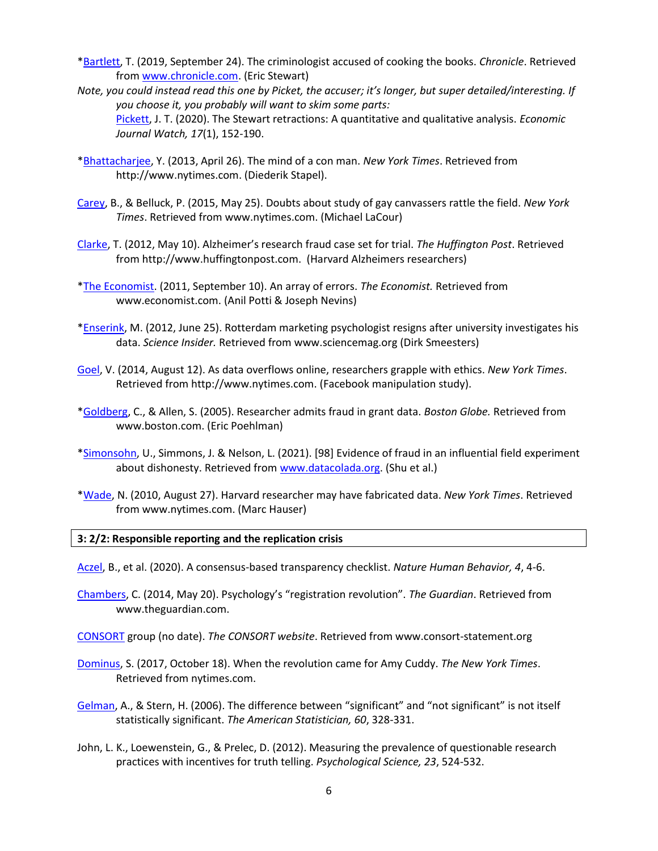- [\\*Bartlett,](https://www.chronicle.com/article/the-criminologist-accused-of-cooking-the-books/) T. (2019, September 24). The criminologist accused of cooking the books. *Chronicle*. Retrieved from [www.chronicle.com.](http://www.chronicle.com/) (Eric Stewart)
- *Note, you could instead read this one by Picket, the accuser; it's longer, but super detailed/interesting. If you choose it, you probably will want to skim some parts:*  [Pickett,](https://econjwatch.org/File+download/1139/PickettMar2020.pdf?mimetype=pdf) J. T. (2020). The Stewart retractions: A quantitative and qualitative analysis. *Economic Journal Watch, 17*(1), 152-190.
- [\\*Bhattacharjee,](http://www.nytimes.com/2013/04/28/magazine/diederik-stapels-audacious-academic-fraud.html?pagewanted=1&_r=2&src=dayp) Y. (2013, April 26). The mind of a con man. *New York Times*. Retrieved from http://www.nytimes.com. (Diederik Stapel).
- [Carey,](http://www.nytimes.com/2015/05/26/science/maligned-study-on-gay-marriage-is-shaking-trust.html) B., & Belluck, P. (2015, May 25). Doubts about study of gay canvassers rattle the field. *New York Times*. Retrieved from www.nytimes.com. (Michael LaCour)
- [Clarke](http://www.huffingtonpost.com/2012/05/11/alzheimers-research-fraud-harvard-marilyn-albert_n_1508026.html), T. (2012, May 10). Alzheimer's research fraud case set for trial. *The Huffington Post*. Retrieved from http://www.huffingtonpost.com. (Harvard Alzheimers researchers)
- [\\*The Economist.](http://www.economist.com/node/21528593) (2011, September 10). An array of errors. *The Economist.* Retrieved from www.economist.com. (Anil Potti & Joseph Nevins)
- [\\*Enserink,](http://news.sciencemag.org/education/2012/06/rotterdam-marketing-psychologist-resigns-after-university-investigates-his-data?ref=hp) M. (2012, June 25). Rotterdam marketing psychologist resigns after university investigates his data. *Science Insider.* Retrieved from www.sciencemag.org (Dirk Smeesters)
- [Goel,](http://www.nytimes.com/2014/08/13/technology/the-boon-of-online-data-puts-social-science-in-a-quandary.html?emc=eta1) V. (2014, August 12). As data overflows online, researchers grapple with ethics. *New York Times*. Retrieved from http://www.nytimes.com. (Facebook manipulation study).
- [\\*Goldberg,](http://www.boston.com/news/nation/articles/2005/03/18/researcher_admits_fraud_in_grant_data?pg=full) C., & Allen, S. (2005). Researcher admits fraud in grant data. *Boston Globe.* Retrieved from www.boston.com. (Eric Poehlman)
- [\\*Simonsohn,](http://datacolada.org/98) U., Simmons, J. & Nelson, L. (2021). [98] Evidence of fraud in an influential field experiment about dishonesty. Retrieved from [www.datacolada.org.](http://www.datacolada.org/) (Shu et al.)
- [\\*Wade,](http://www.nytimes.com/2010/08/28/science/28harvard.html?_r=0) N. (2010, August 27). Harvard researcher may have fabricated data. *New York Times*. Retrieved from www.nytimes.com. (Marc Hauser)

## **3: 2/2: Responsible reporting and the replication crisis**

[Aczel,](https://www.nature.com/articles/s41562-019-0772-6) B., et al. (2020). A consensus-based transparency checklist. *Nature Human Behavior, 4*, 4-6.

[Chambers,](http://www.theguardian.com/science/head-quarters/2014/may/20/psychology-registration-revolution) C. (2014, May 20). Psychology's "registration revolution". *The Guardian*. Retrieved from www.theguardian.com.

[CONSORT](http://www.consort-statement.org/) group (no date). *The CONSORT website*. Retrieved from www.consort-statement.org

- [Dominus,](https://www.nytimes.com/2017/10/18/magazine/when-the-revolution-came-for-amy-cuddy.html) S. (2017, October 18). When the revolution came for Amy Cuddy. *The New York Times*. Retrieved from nytimes.com.
- [Gelman](http://www.google.com/url?sa=t&rct=j&q=&esrc=s&source=web&cd=1&ved=0CB4QFjAA&url=http%3A%2F%2Fwww.stat.columbia.edu%2F~gelman%2Fresearch%2Fpublished%2Fsignif4.pdf&ei=j9i3VK3IGKT9sASNx4GQDQ&usg=AFQjCNGqDfu3Qs8wXWOZUEUVMSPaH-IL7Q&sig2=5F-_2DIlIALm3lzQ96K66w&bvm=bv.83640239,d.cWc&cad=rjt), A., & Stern, H. (2006). The difference between "significant" and "not significant" is not itself statistically significant. *The American Statistician, 60*, 328-331.
- John, L. K., Loewenstein, G., & Prelec, D. (2012). Measuring the prevalence of questionable research practices with incentives for truth telling. *Psychological Science, 23*, 524-532.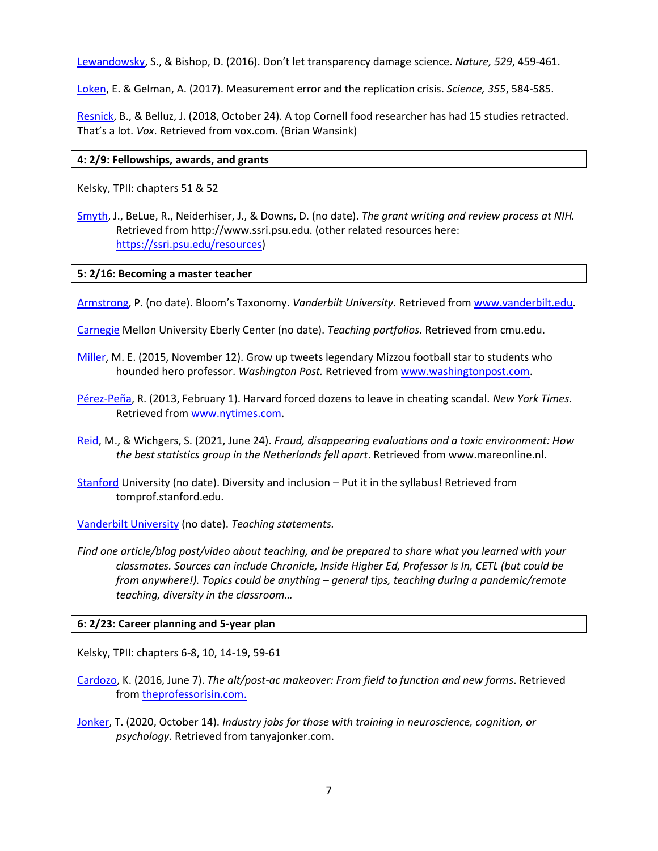[Lewandowsky,](http://andrewgelman.com/wp-content/uploads/2016/02/Lewandowsky-Bishop-2016-Nature.pdf) S., & Bishop, D. (2016). Don't let transparency damage science. *Nature, 529*, 459-461.

[Loken,](http://science.sciencemag.org/content/355/6325/584) E. & Gelman, A. (2017). Measurement error and the replication crisis. *Science, 355*, 584-585.

[Resnick,](https://www.vox.com/science-and-health/2018/9/19/17879102/brian-wansink-cornell-food-brand-lab-retractions-jama) B., & Belluz, J. (2018, October 24). A top Cornell food researcher has had 15 studies retracted. That's a lot. *Vox*. Retrieved from vox.com. (Brian Wansink)

## **4: 2/9: Fellowships, awards, and grants**

Kelsky, TPII: chapters 51 & 52

[Smyth,](https://ssri.psu.edu/sites/ssri/files/SSRI_NIH_Presentation_Slides_2014.pptx) J., BeLue, R., Neiderhiser, J., & Downs, D. (no date). *The grant writing and review process at NIH.*  Retrieved from http://www.ssri.psu.edu. (other related resources here: [https://ssri.psu.edu/resources\)](https://ssri.psu.edu/resources)

## **5: 2/16: Becoming a master teacher**

[Armstrong,](https://cft.vanderbilt.edu/guides-sub-pages/blooms-taxonomy/) P. (no date). Bloom's Taxonomy. *Vanderbilt University*. Retrieved from [www.vanderbilt.edu.](http://www.vanderbilt.edu/)

- [Carnegie](https://www.cmu.edu/teaching/resources/teachingportfolios/) Mellon University Eberly Center (no date). *Teaching portfolios*. Retrieved from cmu.edu.
- [Miller,](https://www.washingtonpost.com/news/morning-mix/wp/2015/11/12/grow-up-tweets-legendary-mizzou-football-star-to-students-who-hounded-hero-professor/?utm_term=.5b1eaf07db64) M. E. (2015, November 12). Grow up tweets legendary Mizzou football star to students who hounded hero professor. *Washington Post.* Retrieved from [www.washingtonpost.com.](http://www.washingtonpost.com/)
- [Pérez-Peña,](http://www.nytimes.com/2013/02/02/education/harvard-forced-dozens-to-leave-in-cheating-scandal.html) R. (2013, February 1). Harvard forced dozens to leave in cheating scandal. *New York Times.*  Retrieved from [www.nytimes.com.](http://www.nytimes.com/2013/02/02/education/harvard-forced-dozens-to-leave-in-cheating-scandal.html)
- [Reid,](https://www.mareonline.nl/en/background/fraud-disappearing-evaluations-and-a-toxic-environment-how-the-best-statistics-group-in-the-netherlands-fell-apart/) M., & Wichgers, S. (2021, June 24). *Fraud, disappearing evaluations and a toxic environment: How the best statistics group in the Netherlands fell apart*. Retrieved from www.mareonline.nl.
- [Stanford](https://tomprof.stanford.edu/posting/1625) University (no date). Diversity and inclusion Put it in the syllabus! Retrieved from tomprof.stanford.edu.
- [Vanderbilt University](https://cft.vanderbilt.edu/guides-sub-pages/teaching-statements/) (no date). *Teaching statements.*
- *Find one article/blog post/video about teaching, and be prepared to share what you learned with your classmates. Sources can include Chronicle, Inside Higher Ed, Professor Is In, CETL (but could be from anywhere!). Topics could be anything – general tips, teaching during a pandemic/remote teaching, diversity in the classroom…*

# **6: 2/23: Career planning and 5-year plan**

Kelsky, TPII: chapters 6-8, 10, 14-19, 59-61

- [Cardozo,](http://theprofessorisin.com/2016/06/07/the-altpost-ac-makeover-from-field-to-function-and-new-forms-cardozo/) K. (2016, June 7). *The alt/post-ac makeover: From field to function and new forms*. Retrieved from [theprofessorisin.com.](http://theprofessorisin.com/2016/05/31/the-post-acs-guide-to-the-cover-letter/)
- [Jonker,](https://tanyajonker.com/essays/industry-jobs) T. (2020, October 14). *Industry jobs for those with training in neuroscience, cognition, or psychology*. Retrieved from tanyajonker.com.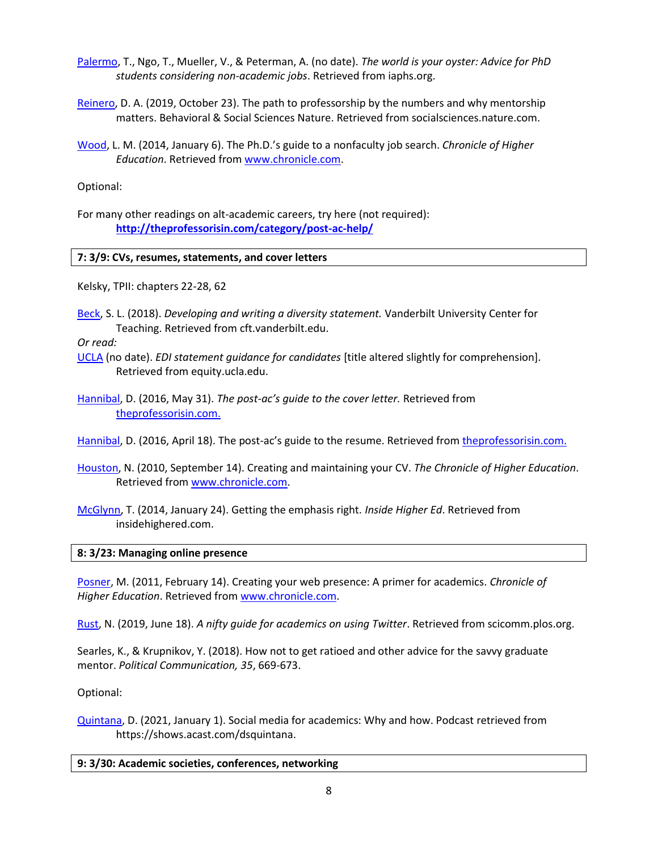- [Palermo,](https://iaphs.org/the-world-is-your-oyster-advice-for-phd-students-considering-non-academic-jobs/) T., Ngo, T., Mueller, V., & Peterman, A. (no date). *The world is your oyster: Advice for PhD students considering non-academic jobs*. Retrieved from iaphs.org.
- [Reinero,](https://socialsciences.nature.com/posts/55118-the-path-to-professorship-by-the-numbers-and-why-mentorship-matters) D. A. (2019, October 23). The path to professorship by the numbers and why mentorship matters. Behavioral & Social Sciences Nature. Retrieved from socialsciences.nature.com.
- [Wood](http://www.chronicle.com/article/The-PhDs-Guide-to-a/143715/), L. M. (2014, January 6). The Ph.D.'s guide to a nonfaculty job search. *Chronicle of Higher Education*. Retrieved fro[m www.chronicle.com.](http://www.chronicile.com/)

Optional:

For many other readings on alt-academic careers, try here (not required): **<http://theprofessorisin.com/category/post-ac-help/>**

# **7: 3/9: CVs, resumes, statements, and cover letters**

Kelsky, TPII: chapters 22-28, 62

[Beck,](https://cft.vanderbilt.edu/guides-sub-pages/developing-and-writing-a-diversity-statement/) S. L. (2018). *Developing and writing a diversity statement.* Vanderbilt University Center for Teaching. Retrieved from cft.vanderbilt.edu.

*Or read:* 

- [UCLA](https://equity.ucla.edu/programs-resources/faculty-search-process/faculty-search-committee-resources/sample-guidance/) (no date). *EDI statement guidance for candidates* [title altered slightly for comprehension]. Retrieved from equity.ucla.edu.
- [Hannibal,](http://theprofessorisin.com/2016/05/31/the-post-acs-guide-to-the-cover-letter/) D. (2016, May 31). *The post-ac's guide to the cover letter.* Retrieved from [theprofessorisin.com.](http://theprofessorisin.com/2016/05/31/the-post-acs-guide-to-the-cover-letter/)

[Hannibal,](http://theprofessorisin.com/2016/04/18/the-post-acs-guide-to-the-resume/) D. (2016, April 18). The post-ac's guide to the resume. Retrieved from [theprofessorisin.com.](http://theprofessorisin.com/2016/05/31/the-post-acs-guide-to-the-cover-letter/)

- [Houston,](http://chronicle.com/blogs/profhacker/creatingmaintaining-your-cv/26887) N. (2010, September 14). Creating and maintaining your CV. *The Chronicle of Higher Education*. Retrieved from [www.chronicle.com.](http://www.chronicle.com/)
- [McGlynn,](https://www.insidehighered.com/advice/2014/01/24/essay-writing-cover-letter-academic-job-teaching-institution) T. (2014, January 24). Getting the emphasis right. *Inside Higher Ed*. Retrieved from insidehighered.com.

# **8: 3/23: Managing online presence**

[Posner,](http://chronicle.com/blogs/profhacker/creating-your-web-presence-a-primer-for-academics/30458) M. (2011, February 14). Creating your web presence: A primer for academics. *Chronicle of Higher Education*. Retrieved from [www.chronicle.com.](http://www.chronicle.com/)

[Rust,](https://scicomm.plos.org/2019/06/18/a-nifty-guide-for-academics-on-using-twitter/) N. (2019, June 18). *A nifty guide for academics on using Twitter*. Retrieved from scicomm.plos.org.

Searles, K., & Krupnikov, Y. (2018). How not to get ratioed and other advice for the savvy graduate mentor. *Political Communication, 35*, 669-673.

Optional:

[Quintana,](https://shows.acast.com/dsquintana/episodes/social-media-for-academics-why-and-how) D. (2021, January 1). Social media for academics: Why and how. Podcast retrieved from https://shows.acast.com/dsquintana.

# **9: 3/30: Academic societies, conferences, networking**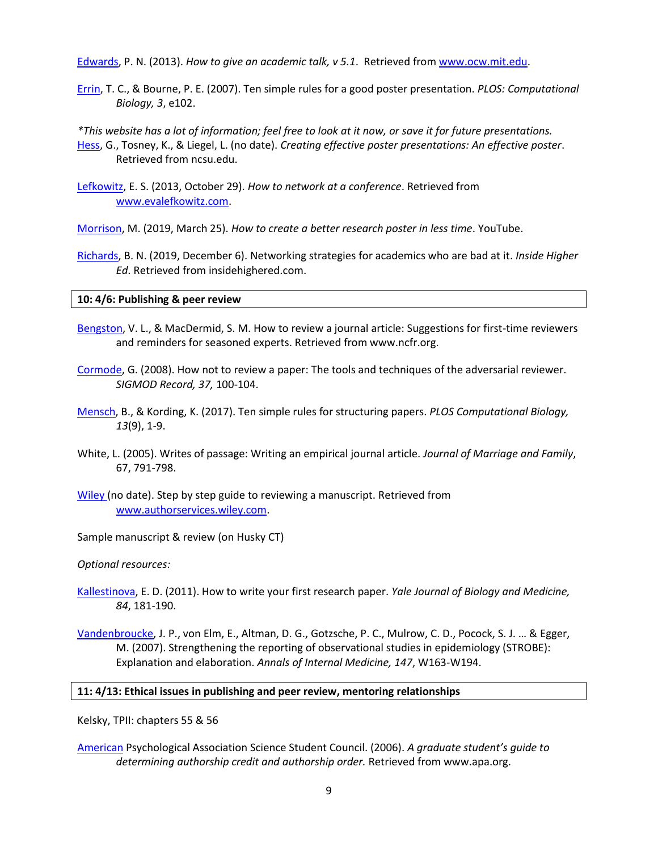[Edwards,](https://ocw.mit.edu/courses/electrical-engineering-and-computer-science/6-857-network-and-computer-security-spring-2014/projects/MIT6_857S14_proj_umic-talk.pdf) P. N. (2013). *How to give an academic talk, v 5.1*. Retrieved fro[m www.ocw.mit.edu.](http://www.ocw.mit.edu/)

[Errin,](https://journals.plos.org/ploscompbiol/article?id=10.1371/journal.pcbi.0030102) T. C., & Bourne, P. E. (2007). Ten simple rules for a good poster presentation. *PLOS: Computational Biology, 3*, e102.

*\*This website has a lot of information; feel free to look at it now, or save it for future presentations.*  [Hess,](https://go.ncsu.edu/posters) G., Tosney, K., & Liegel, L. (no date). *Creating effective poster presentations: An effective poster*. Retrieved from ncsu.edu.

[Lefkowitz,](http://www.evalefkowitz.com/prof-dev-blog/how-to-network-at-a-conference) E. S. (2013, October 29). *How to network at a conference*. Retrieved from [www.evalefkowitz.com.](http://www.evalefkowitz.com/)

[Morrison,](https://www.youtube.com/watch?v=1RwJbhkCA58) M. (2019, March 25). *How to create a better research poster in less time*. YouTube.

[Richards,](https://www.insidehighered.com/advice/2019/12/06/how-network-effectively-even-if-you-would-rather-avoid-it-opinion) B. N. (2019, December 6). Networking strategies for academics who are bad at it. *Inside Higher Ed*. Retrieved from insidehighered.com.

## **10: 4/6: Publishing & peer review**

- [Bengston,](https://www.ncfr.org/jmf/jmf-reviewers/reviewer-guidelines) V. L., & MacDermid, S. M. How to review a journal article: Suggestions for first-time reviewers and reminders for seasoned experts. Retrieved from www.ncfr.org.
- [Cormode,](http://dimacs.rutgers.edu/~graham/pubs/papers/adversarial.pdf) G. (2008). How not to review a paper: The tools and techniques of the adversarial reviewer. *SIGMOD Record, 37,* 100-104.
- [Mensch,](https://static1.squarespace.com/static/5f455f635c27d9245c08d8d3/t/5f710bb302200104f69034bc/1601244084119/10_simple_rules_structuring_papers_PLOS_2017.pdf) B., & Kording, K. (2017). Ten simple rules for structuring papers. *PLOS Computational Biology, 13*(9), 1-9.
- White, L. (2005). Writes of passage: Writing an empirical journal article. *Journal of Marriage and Family*, 67, 791-798.
- [Wiley \(](https://authorservices.wiley.com/Reviewers/journal-reviewers/how-to-perform-a-peer-review/step-by-step-guide-to-reviewing-a-manuscript.html)no date). Step by step guide to reviewing a manuscript. Retrieved from [www.authorservices.wiley.com.](http://www.authorservices.wiley.com/)

Sample manuscript & review (on Husky CT)

*Optional resources:*

- [Kallestinova,](https://www.ncbi.nlm.nih.gov/pmc/articles/PMC3178846/) E. D. (2011). How to write your first research paper. *Yale Journal of Biology and Medicine, 84*, 181-190.
- [Vandenbroucke](http://annals.org/aim/fullarticle/737187/strengthening-reporting-observational-studies-epidemiology-strobe-explanation-elaboration), J. P., von Elm, E., Altman, D. G., Gotzsche, P. C., Mulrow, C. D., Pocock, S. J. … & Egger, M. (2007). Strengthening the reporting of observational studies in epidemiology (STROBE): Explanation and elaboration. *Annals of Internal Medicine, 147*, W163-W194.

## **11: 4/13: Ethical issues in publishing and peer review, mentoring relationships**

Kelsky, TPII: chapters 55 & 56

[American](http://www.google.com/url?sa=t&rct=j&q=&esrc=s&source=web&cd=1&ved=0CB4QFjAA&url=http%3A%2F%2Fwww.apa.org%2Fscience%2Fleadership%2Fstudents%2Fauthorship-paper.pdf&ei=dw5tVMqZLdCMsQSsp4LwAw&usg=AFQjCNE0Fwcq2G1Js-Ct5QcdT0xi9OfVGw&sig2=QzGH6XP7X1o1MYe99z-2tw&bvm=bv.80120444,d.cWc&cad=rjt) Psychological Association Science Student Council. (2006). *A graduate student's guide to determining authorship credit and authorship order.* Retrieved from www.apa.org.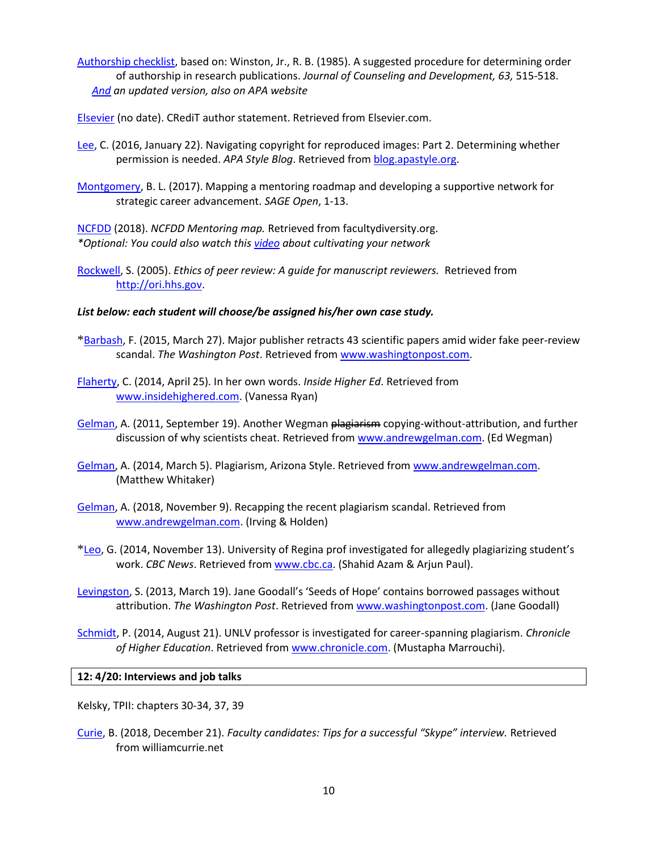[Authorship checklist,](https://www.google.com/url?sa=t&rct=j&q=&esrc=s&source=web&cd=1&ved=0CB4QFjAA&url=https%3A%2F%2Fwww.apa.org%2Fscience%2Fleadership%2Fstudents%2Fauthorship-determination.pdf&ei=r0G3VJStIMq8ggT0oYToAg&usg=AFQjCNF-000CokjDTyQGBAoBYBCE-4xdiw&sig2=Q-g2ivi_MruNxw-03ann2Q&bvm=bv.83829542,d.eXY&cad=rjt) based on: Winston, Jr., R. B. (1985). A suggested procedure for determining order of authorship in research publications. *Journal of Counseling and Development, 63,* 515-518. *[And](https://www.apa.org/science/leadership/students/authorship-determination-scorecard.pdf) an updated version, also on APA website*

[Elsevier](https://www.elsevier.com/authors/policies-and-guidelines/credit-author-statement) (no date). CRediT author statement. Retrieved from Elsevier.com.

- [Lee,](http://blog.apastyle.org/apastyle/2016/01/navigating-copyright-part-2.html) C. (2016, January 22). Navigating copyright for reproduced images: Part 2. Determining whether permission is needed. *APA Style Blog*. Retrieved fro[m blog.apastyle.org.](http://blog.apastyle.org/)
- [Montgomery,](https://aan.msu.edu/wp-content/uploads/2017/08/Montgomery_2017_mentoring.pdf) B. L. (2017). Mapping a mentoring roadmap and developing a supportive network for strategic career advancement. *SAGE Open*, 1-13.

[NCFDD](https://www.facultydiversity.org/PathfindersMentorMap) (2018). *NCFDD Mentoring map.* Retrieved from facultydiversity.org. *\*Optional: You could also watch this [video](https://www.facultydiversity.org/webinars/cultivatingyournetwork18) about cultivating your network*

[Rockwell,](http://ori.hhs.gov/sites/default/files/prethics.pdf) S. (2005). *Ethics of peer review: A guide for manuscript reviewers.* Retrieved from [http://ori.hhs.gov.](http://ori.hhs.gov/)

## *List below: each student will choose/be assigned his/her own case study.*

- \*[Barbash,](http://www.washingtonpost.com/news/morning-mix/wp/2015/03/27/fabricated-peer-reviews-prompt-scientific-journal-to-retract-43-papers-systematic-scheme-may-affect-other-journals) F. (2015, March 27). Major publisher retracts 43 scientific papers amid wider fake peer-review scandal. *The Washington Post*. Retrieved from [www.washingtonpost.com.](http://www.washingtonpost.com/)
- [Flaherty,](https://www.insidehighered.com/news/2014/04/25/investigation-brown-professors-plagiarism-case-goes-public) C. (2014, April 25). In her own words. *Inside Higher Ed*. Retrieved from [www.insidehighered.com.](http://www.insidehighered.com/) (Vanessa Ryan)
- [Gelman,](http://andrewgelman.com/2011/09/19/another-wegman-plagiarism-copying-without-attribution-and-further-discussion-of-why-scientists-cheat/) A. (2011, September 19). Another Wegman plagiarism copying-without-attribution, and further discussion of why scientists cheat. Retrieved from [www.andrewgelman.com.](http://www.andrewgelman.com/) (Ed Wegman)
- [Gelman,](http://andrewgelman.com/2014/03/05/plagiarism-arizona-style/) A. (2014, March 5). Plagiarism, Arizona Style. Retrieved fro[m www.andrewgelman.com.](http://www.andrewgelman.com/) (Matthew Whitaker)
- [Gelman,](https://statmodeling.stat.columbia.edu/2018/11/09/recapping-recent-plagiarism-scandal/) A. (2018, November 9). Recapping the recent plagiarism scandal. Retrieved from [www.andrewgelman.com.](http://www.andrewgelman.com/) (Irving & Holden)
- \*[Leo,](http://www.cbc.ca/news/canada/saskatchewan/university-of-regina-prof-investigated-for-allegedly-plagiarizing-student-s-work-1.2832907) G. (2014, November 13). University of Regina prof investigated for allegedly plagiarizing student's work. *CBC News*. Retrieved fro[m www.cbc.ca.](http://www.cbc.ca/) (Shahid Azam & Arjun Paul).
- [Levingston](https://www.washingtonpost.com/entertainment/books/jane-goodall-book-seeds-of-hope-contains-borrowed-passages-without-attribution/2013/03/19/448ad1f6-8bf3-11e2-9f54-f3fdd70acad2_story.html), S. (2013, March 19). Jane Goodall's 'Seeds of Hope' contains borrowed passages without attribution. *The Washington Post*. Retrieved fro[m www.washingtonpost.com.](http://www.washingtonpost.com/) (Jane Goodall)
- [Schmidt,](http://chronicle.com/article/UNLV-Professor-Is-Investigated/148443/) P. (2014, August 21). UNLV professor is investigated for career-spanning plagiarism. *Chronicle of Higher Education*. Retrieved from [www.chronicle.com.](http://www.chronicile.com/) (Mustapha Marrouchi).

## **12: 4/20: Interviews and job talks**

Kelsky, TPII: chapters 30-34, 37, 39

[Curie,](https://williamcurrie.net/2018/12/21/faculty-candidates-tips-for-a-successful-skype-interview/) B. (2018, December 21). *Faculty candidates: Tips for a successful "Skype" interview.* Retrieved from williamcurrie.net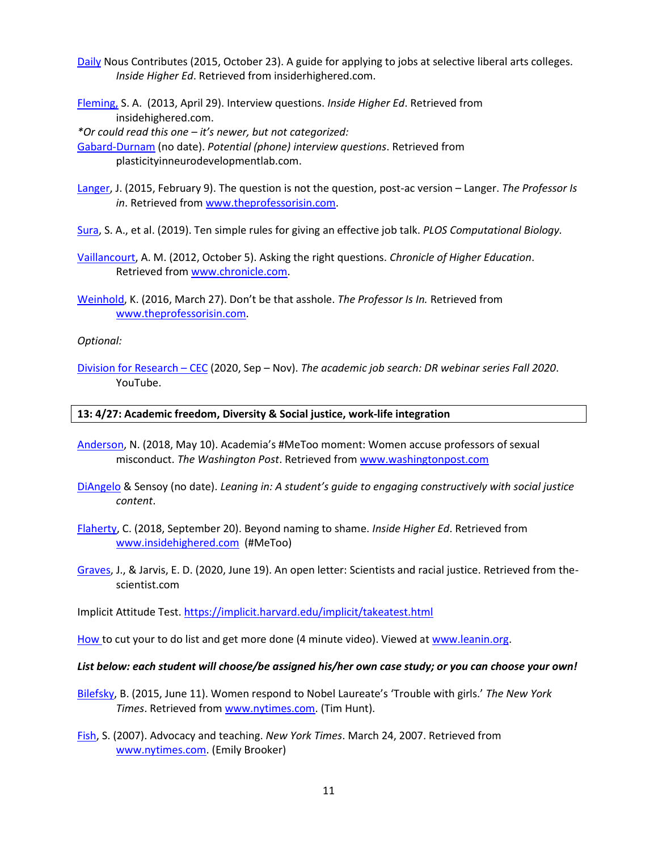[Daily](https://www.insidehighered.com/advice/2015/10/23/advice-getting-job-selective-liberal-arts-college-essay) Nous Contributes (2015, October 23). A guide for applying to jobs at selective liberal arts colleges. *Inside Higher Ed*. Retrieved from insiderhighered.com.

[Fleming,](http://www.insidehighered.com/advice/2013/04/29/essay-interview-questions-academic-job-searches) S. A. (2013, April 29). Interview questions. *Inside Higher Ed*. Retrieved from insidehighered.com.

*\*Or could read this one – it's newer, but not categorized:* 

[Gabard-Durnam](https://docs.google.com/document/d/1pVAkbJQ7IV147COpAhP32u-qVKuaHbYlurWjiOVLWvo/edit) (no date). *Potential (phone) interview questions*. Retrieved from plasticityinneurodevelopmentlab.com.

[Langer,](http://theprofessorisin.com/2015/02/09/the-question-is-not-the-question-postac-version-langer/) J. (2015, February 9). The question is not the question, post-ac version – Langer. *The Professor Is in*. Retrieved from [www.theprofessorisin.com.](http://www.theprofessorisin.com/)

[Sura,](https://journals.plos.org/ploscompbiol/article?id=10.1371/journal.pcbi.1007163) S. A., et al. (2019). Ten simple rules for giving an effective job talk. *PLOS Computational Biology.*

- [Vaillancourt,](http://chronicle.com/blogs/onhiring/asking-the-right-questions/34300) A. M. (2012, October 5). Asking the right questions. *Chronicle of Higher Education*. Retrieved from [www.chronicle.com.](http://www.chronicle.com/)
- [Weinhold](http://theprofessorisin.com/2016/03/27/dont-be-that-asshole-by-kellee-weinhold/), K. (2016, March 27). Don't be that asshole. *The Professor Is In.* Retrieved from [www.theprofessorisin.com.](http://www.theprofessorisin.com/)

*Optional:* 

[Division for Research](https://www.youtube.com/watch?v=UWoWRXXMYlY&list=PLlv0qz3f1OkCv6iTBMWuo2p6qEucqI3v-) – CEC (2020, Sep – Nov). *The academic job search: DR webinar series Fall 2020*. YouTube.

## **13: 4/27: Academic freedom, Diversity & Social justice, work-life integration**

- [Anderson,](https://www.washingtonpost.com/local/education/academias-metoo-moment-women-accuse-professors-of-sexual-misconduct/2018/05/10/474102de-2631-11e8-874b-d517e912f125_story.html?noredirect=on&utm_term=.b5d924f91ca3) N. (2018, May 10). Academia's #MeToo moment: Women accuse professors of sexual misconduct. *The Washington Post*. Retrieved from [www.washingtonpost.com](http://www.washingtonpost.com/)
- [DiAngelo](https://static1.squarespace.com/static/5f455f635c27d9245c08d8d3/t/5f694033e8fce359cbf07806/1600733235895/Leaning+in+-+a+students+guide.pdf) & Sensoy (no date). *Leaning in: A student's guide to engaging constructively with social justice content*.
- [Flaherty,](https://www.insidehighered.com/news/2018/09/20/why-one-academic-spends-hours-week-putting-together-spreadsheet-documented) C. (2018, September 20). Beyond naming to shame. *Inside Higher Ed*. Retrieved from [www.insidehighered.com](http://www.insidehighered.com/) (#MeToo)
- [Graves,](https://www.the-scientist.com/editorial/an-open-letter-scientists-and-racial-justice-67648) J., & Jarvis, E. D. (2020, June 19). An open letter: Scientists and racial justice. Retrieved from thescientist.com

Implicit Attitude Test.<https://implicit.harvard.edu/implicit/takeatest.html>

[How t](https://leanin.org/education/drop-the-ball-doing-more-of-what-matters)o cut your to do list and get more done (4 minute video). Viewed at [www.leanin.org.](http://www.leanin.org/)

*List below: each student will choose/be assigned his/her own case study; or you can choose your own!*

- [Bilefsky](http://www.nytimes.com/2015/06/12/world/europe/tim-hunt-nobel-laureate-resigns-sexist-women-female-scientists.html?_r=0), B. (2015, June 11). Women respond to Nobel Laureate's 'Trouble with girls.' *The New York Times*. Retrieved from [www.nytimes.com.](http://www.nytimes.com/) (Tim Hunt).
- [Fish,](http://select.nytimes.com/2007/03/24/opinion/24fish.html?scp=26&sq=stanley+fish&st=nyt) S. (2007). Advocacy and teaching. *New York Times*. March 24, 2007. Retrieved from [www.nytimes.com.](http://www.nytimes.com/) (Emily Brooker)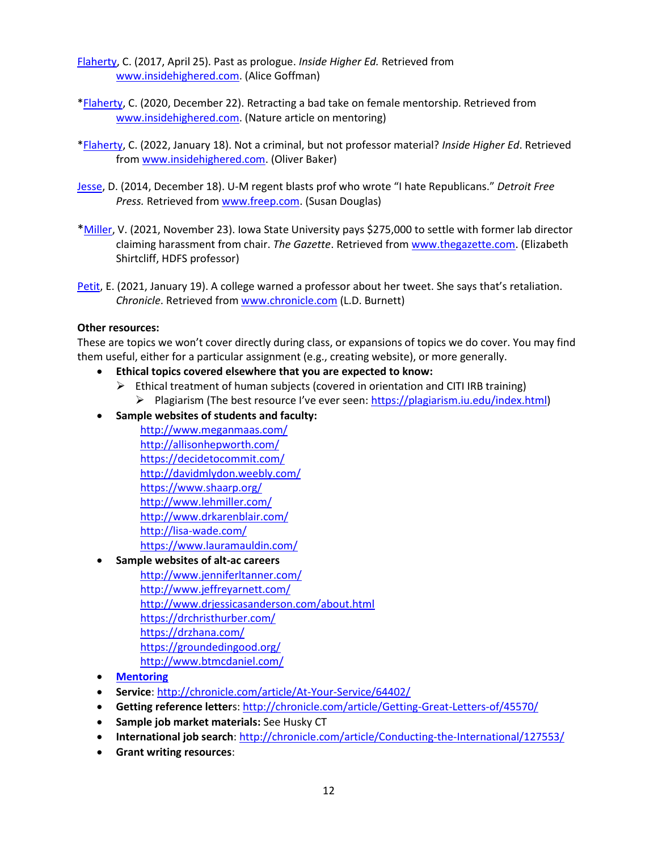[Flaherty,](https://www.insidehighered.com/news/2017/04/25/controversy-over-alice-goffman-leads-pomona-students-say-her-alleged-racial) C. (2017, April 25). Past as prologue. *Inside Higher Ed.* Retrieved from [www.insidehighered.com.](http://www.insidehighered.com/) (Alice Goffman)

- [\\*Flaherty,](https://www.insidehighered.com/news/2020/12/22/retracting-bad-take-female-mentorship) C. (2020, December 22). Retracting a bad take on female mentorship. Retrieved from [www.insidehighered.com.](http://www.insidehighered.com/) (Nature article on mentoring)
- [\\*Flaherty,](https://www.insidehighered.com/news/2022/01/18/penn-state-seeks-fire-professor-over-vaccine-rally-tussle) C. (2022, January 18). Not a criminal, but not professor material? *Inside Higher Ed*. Retrieved from [www.insidehighered.com.](http://www.insidehighered.com/) (Oliver Baker)
- [Jesse,](https://www.freep.com/story/news/local/2014/12/18/michigan-professor-republicans/20580167/) D. (2014, December 18). U-M regent blasts prof who wrote "I hate Republicans." *Detroit Free Press.* Retrieved fro[m www.freep.com.](http://www.freep.com/) (Susan Douglas)
- \*[Miller,](https://www.thegazette.com/higher-education/iowa-state-university-pays-275000-to-settle-with-former-lab-director-claiming-harassment-from-chai/) V. (2021, November 23). Iowa State University pays \$275,000 to settle with former lab director claiming harassment from chair. *The Gazette*. Retrieved from [www.thegazette.com.](http://www.thegazette.com/) (Elizabeth Shirtcliff, HDFS professor)
- [Petit](https://www.chronicle.com/article/a-college-warned-a-professor-about-her-tweet-she-says-its-retaliation), E. (2021, January 19). A college warned a professor about her tweet. She says that's retaliation. *Chronicle*. Retrieved fro[m www.chronicle.com](http://www.chronicle.com/) (L.D. Burnett)

# **Other resources:**

These are topics we won't cover directly during class, or expansions of topics we do cover. You may find them useful, either for a particular assignment (e.g., creating website), or more generally.

- **Ethical topics covered elsewhere that you are expected to know:**
	- $\triangleright$  Ethical treatment of human subjects (covered in orientation and CITI IRB training)
		- Plagiarism (The best resource I've ever seen: [https://plagiarism.iu.edu/index.html\)](https://plagiarism.iu.edu/index.html)
- **Sample websites of students and faculty:** 
	- <http://www.meganmaas.com/> <http://allisonhepworth.com/> <https://decidetocommit.com/> <http://davidmlydon.weebly.com/> <https://www.shaarp.org/> <http://www.lehmiller.com/> <http://www.drkarenblair.com/> <http://lisa-wade.com/> <https://www.lauramauldin.com/>
- **Sample websites of alt-ac careers**
	- <http://www.jenniferltanner.com/> <http://www.jeffreyarnett.com/> <http://www.drjessicasanderson.com/about.html> <https://drchristhurber.com/> <https://drzhana.com/> <https://groundedingood.org/> <http://www.btmcdaniel.com/>
- **[Mentoring](https://www.colorado.edu/graduateschool/professional-development/mentoring)**
- **Service**:<http://chronicle.com/article/At-Your-Service/64402/>
- **Getting reference letter**s:<http://chronicle.com/article/Getting-Great-Letters-of/45570/>
- **Sample job market materials:** See Husky CT
- **International job search**[: http://chronicle.com/article/Conducting-the-International/127553/](http://chronicle.com/article/Conducting-the-International/127553/)
- **Grant writing resources**: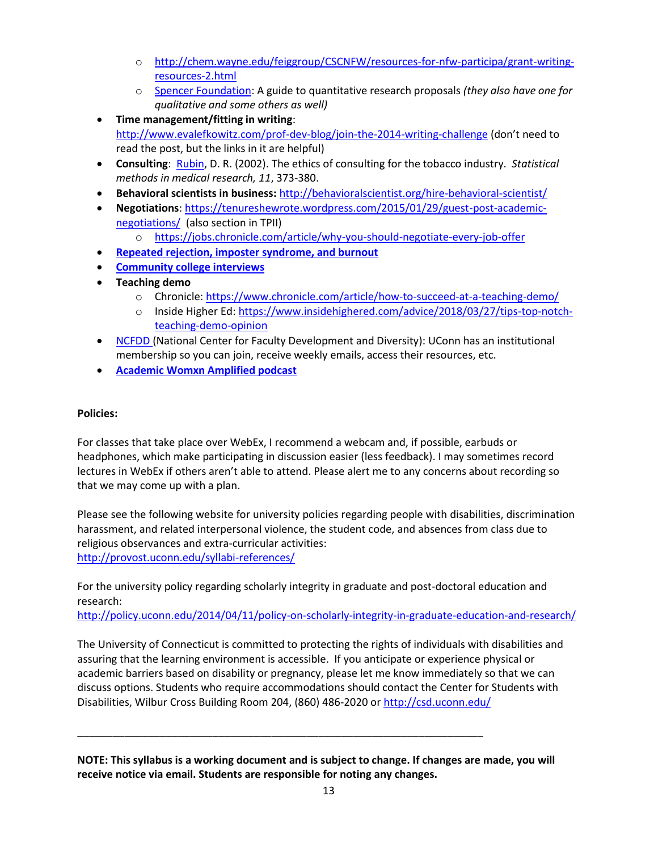- o [http://chem.wayne.edu/feiggroup/CSCNFW/resources-for-nfw-participa/grant-writing](http://chem.wayne.edu/feiggroup/CSCNFW/resources-for-nfw-participa/grant-writing-resources-2.html)[resources-2.html](http://chem.wayne.edu/feiggroup/CSCNFW/resources-for-nfw-participa/grant-writing-resources-2.html)
- o [Spencer Foundation:](https://www.spencer.org/resources/a-guide-to-quantitative-research-proposals) A guide to quantitative research proposals *(they also have one for qualitative and some others as well)*
- **Time management/fitting in writing**: <http://www.evalefkowitz.com/prof-dev-blog/join-the-2014-writing-challenge> (don't need to read the post, but the links in it are helpful)
- **Consulting**: [Rubin,](http://www.stat.columbia.edu/~gelman/stuff_for_blog/Ethics-of-Consulting-for-the-Tobacco-Industry.pdf) D. R. (2002). The ethics of consulting for the tobacco industry. *Statistical methods in medical research, 11*, 373-380.
- **Behavioral scientists in business:** <http://behavioralscientist.org/hire-behavioral-scientist/>
- **Negotiations**: [https://tenureshewrote.wordpress.com/2015/01/29/guest-post-academic](https://tenureshewrote.wordpress.com/2015/01/29/guest-post-academic-negotiations/)[negotiations/](https://tenureshewrote.wordpress.com/2015/01/29/guest-post-academic-negotiations/) (also section in TPII)
	- o <https://jobs.chronicle.com/article/why-you-should-negotiate-every-job-offer>
- **[Repeated rejection, imposter syndrome, and burnout](https://journals.sagepub.com/doi/10.1177/1745691619898848)**
- **[Community college interviews](https://www.chronicle.com/article/what-to-expect-at-a-community-college-interview/)**
- **Teaching demo**
	- o Chronicle[: https://www.chronicle.com/article/how-to-succeed-at-a-teaching-demo/](https://www.chronicle.com/article/how-to-succeed-at-a-teaching-demo/)
	- o Inside Higher Ed: [https://www.insidehighered.com/advice/2018/03/27/tips-top-notch](https://www.insidehighered.com/advice/2018/03/27/tips-top-notch-teaching-demo-opinion)[teaching-demo-opinion](https://www.insidehighered.com/advice/2018/03/27/tips-top-notch-teaching-demo-opinion)
- **NCFDD** (National Center for Faculty Development and Diversity): UConn has an institutional membership so you can join, receive weekly emails, access their resources, etc.
- **[Academic Womxn Amplified podcast](https://www.cathymazak.com/podcast/)**

# **Policies:**

For classes that take place over WebEx, I recommend a webcam and, if possible, earbuds or headphones, which make participating in discussion easier (less feedback). I may sometimes record lectures in WebEx if others aren't able to attend. Please alert me to any concerns about recording so that we may come up with a plan.

Please see the following website for university policies regarding people with disabilities, discrimination harassment, and related interpersonal violence, the student code, and absences from class due to religious observances and extra-curricular activities: <http://provost.uconn.edu/syllabi-references/>

For the university policy regarding scholarly integrity in graduate and post-doctoral education and research:

<http://policy.uconn.edu/2014/04/11/policy-on-scholarly-integrity-in-graduate-education-and-research/>

The University of Connecticut is committed to protecting the rights of individuals with disabilities and assuring that the learning environment is accessible. If you anticipate or experience physical or academic barriers based on disability or pregnancy, please let me know immediately so that we can discuss options. Students who require accommodations should contact the Center for Students with Disabilities, Wilbur Cross Building Room 204, (860) 486-2020 or<http://csd.uconn.edu/>

\_\_\_\_\_\_\_\_\_\_\_\_\_\_\_\_\_\_\_\_\_\_\_\_\_\_\_\_\_\_\_\_\_\_\_\_\_\_\_\_\_\_\_\_\_\_\_\_\_\_\_\_\_\_\_\_\_\_\_\_\_\_\_\_\_\_\_\_\_

**NOTE: This syllabus is a working document and is subject to change. If changes are made, you will receive notice via email. Students are responsible for noting any changes.**